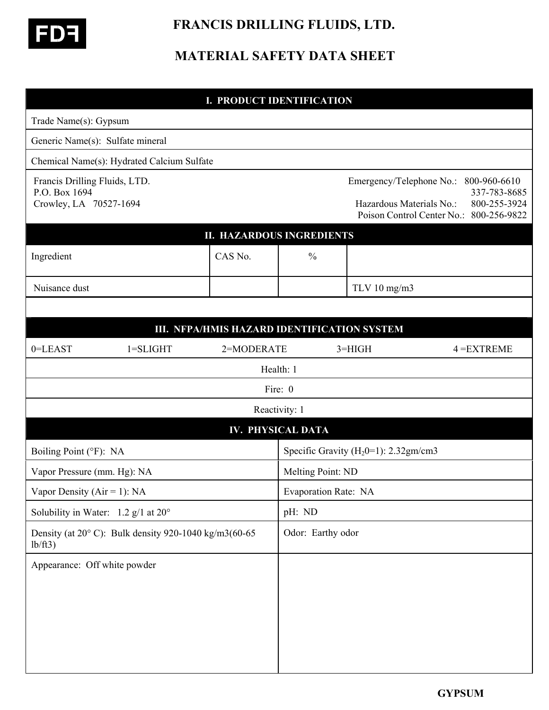

# **FRANCIS DRILLING FLUIDS, LTD.**

# **MATERIAL SAFETY DATA SHEET**

| <b>I. PRODUCT IDENTIFICATION</b>                                           |            |                                           |                                                      |                                                                                         |  |
|----------------------------------------------------------------------------|------------|-------------------------------------------|------------------------------------------------------|-----------------------------------------------------------------------------------------|--|
| Trade Name(s): Gypsum                                                      |            |                                           |                                                      |                                                                                         |  |
| Generic Name(s): Sulfate mineral                                           |            |                                           |                                                      |                                                                                         |  |
| Chemical Name(s): Hydrated Calcium Sulfate                                 |            |                                           |                                                      |                                                                                         |  |
| Francis Drilling Fluids, LTD.<br>P.O. Box 1694<br>Crowley, LA 70527-1694   |            |                                           | Emergency/Telephone No.:<br>Hazardous Materials No.: | 800-960-6610<br>337-783-8685<br>800-255-3924<br>Poison Control Center No.: 800-256-9822 |  |
| <b>II. HAZARDOUS INGREDIENTS</b>                                           |            |                                           |                                                      |                                                                                         |  |
| Ingredient                                                                 | CAS No.    | $\frac{0}{0}$                             |                                                      |                                                                                         |  |
| Nuisance dust                                                              |            |                                           | TLV $10$ mg/m3                                       |                                                                                         |  |
|                                                                            |            |                                           |                                                      |                                                                                         |  |
|                                                                            |            |                                           | III. NFPA/HMIS HAZARD IDENTIFICATION SYSTEM          |                                                                                         |  |
| 0=LEAST<br>$1 = SLIGHT$                                                    | 2=MODERATE |                                           | $3 = HIGH$                                           | $4 = EXTREME$                                                                           |  |
|                                                                            |            | Health: 1                                 |                                                      |                                                                                         |  |
|                                                                            |            | Fire: 0                                   |                                                      |                                                                                         |  |
|                                                                            |            | Reactivity: 1                             |                                                      |                                                                                         |  |
|                                                                            |            | <b>IV. PHYSICAL DATA</b>                  |                                                      |                                                                                         |  |
| Boiling Point (°F): NA                                                     |            | Specific Gravity ( $H_2$ 0=1): 2.32gm/cm3 |                                                      |                                                                                         |  |
| Vapor Pressure (mm. Hg): NA                                                |            |                                           | Melting Point: ND                                    |                                                                                         |  |
| Vapor Density ( $Air = 1$ ): NA                                            |            | Evaporation Rate: NA                      |                                                      |                                                                                         |  |
| Solubility in Water: $1.2$ g/1 at $20^{\circ}$                             |            | pH: ND                                    |                                                      |                                                                                         |  |
| Density (at $20^{\circ}$ C): Bulk density 920-1040 kg/m3(60-65)<br>lb/ft3) |            | Odor: Earthy odor                         |                                                      |                                                                                         |  |
| Appearance: Off white powder                                               |            |                                           |                                                      |                                                                                         |  |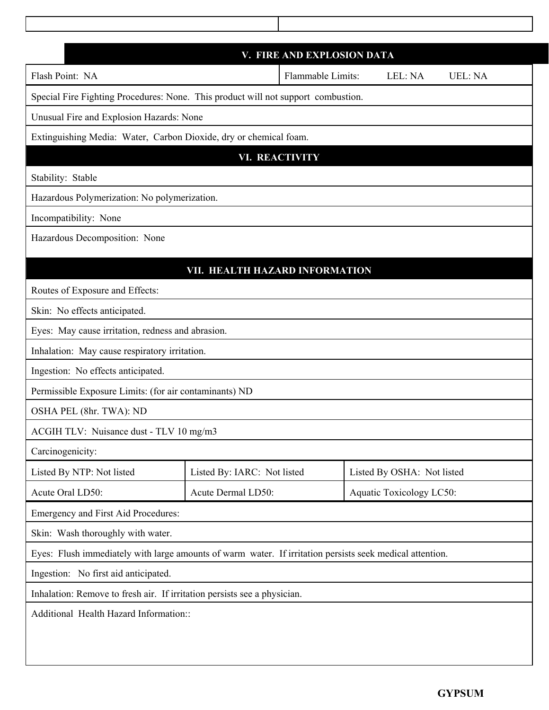|                                                                                                          | V. FIRE AND EXPLOSION DATA  |                                 |  |  |  |
|----------------------------------------------------------------------------------------------------------|-----------------------------|---------------------------------|--|--|--|
| Flash Point: NA                                                                                          | Flammable Limits:           | LEL: NA<br><b>UEL: NA</b>       |  |  |  |
| Special Fire Fighting Procedures: None. This product will not support combustion.                        |                             |                                 |  |  |  |
| Unusual Fire and Explosion Hazards: None                                                                 |                             |                                 |  |  |  |
| Extinguishing Media: Water, Carbon Dioxide, dry or chemical foam.                                        |                             |                                 |  |  |  |
| <b>VI. REACTIVITY</b>                                                                                    |                             |                                 |  |  |  |
| Stability: Stable                                                                                        |                             |                                 |  |  |  |
| Hazardous Polymerization: No polymerization.                                                             |                             |                                 |  |  |  |
| Incompatibility: None                                                                                    |                             |                                 |  |  |  |
| Hazardous Decomposition: None                                                                            |                             |                                 |  |  |  |
|                                                                                                          |                             |                                 |  |  |  |
| VII. HEALTH HAZARD INFORMATION                                                                           |                             |                                 |  |  |  |
| Routes of Exposure and Effects:                                                                          |                             |                                 |  |  |  |
| Skin: No effects anticipated.                                                                            |                             |                                 |  |  |  |
| Eyes: May cause irritation, redness and abrasion.                                                        |                             |                                 |  |  |  |
| Inhalation: May cause respiratory irritation.                                                            |                             |                                 |  |  |  |
| Ingestion: No effects anticipated.                                                                       |                             |                                 |  |  |  |
| Permissible Exposure Limits: (for air contaminants) ND                                                   |                             |                                 |  |  |  |
| OSHA PEL (8hr. TWA): ND                                                                                  |                             |                                 |  |  |  |
| ACGIH TLV: Nuisance dust - TLV 10 mg/m3                                                                  |                             |                                 |  |  |  |
| Carcinogenicity:                                                                                         |                             |                                 |  |  |  |
| Listed By NTP: Not listed                                                                                | Listed By: IARC: Not listed | Listed By OSHA: Not listed      |  |  |  |
| Acute Oral LD50:                                                                                         | Acute Dermal LD50:          | <b>Aquatic Toxicology LC50:</b> |  |  |  |
| Emergency and First Aid Procedures:                                                                      |                             |                                 |  |  |  |
| Skin: Wash thoroughly with water.                                                                        |                             |                                 |  |  |  |
| Eyes: Flush immediately with large amounts of warm water. If irritation persists seek medical attention. |                             |                                 |  |  |  |
| Ingestion: No first aid anticipated.                                                                     |                             |                                 |  |  |  |
| Inhalation: Remove to fresh air. If irritation persists see a physician.                                 |                             |                                 |  |  |  |
| Additional Health Hazard Information::                                                                   |                             |                                 |  |  |  |
|                                                                                                          |                             |                                 |  |  |  |
|                                                                                                          |                             |                                 |  |  |  |

 $\mathbf I$ 

 $\mathsf{l}$